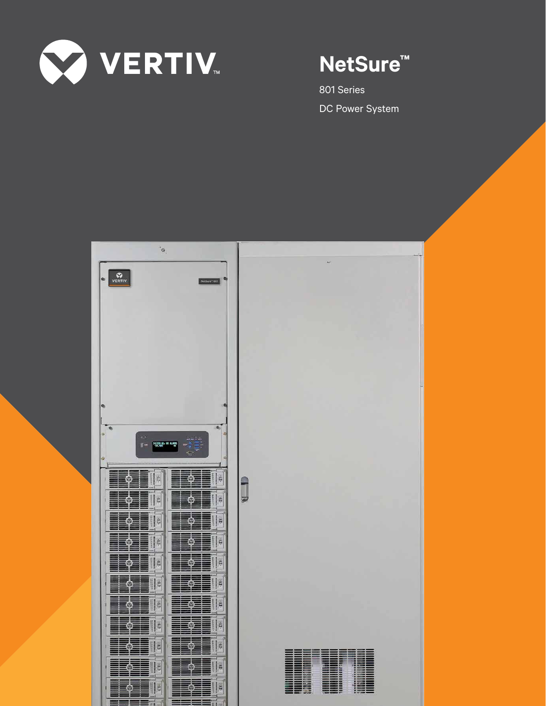

# **NetSure™**

801 Series DC Power System

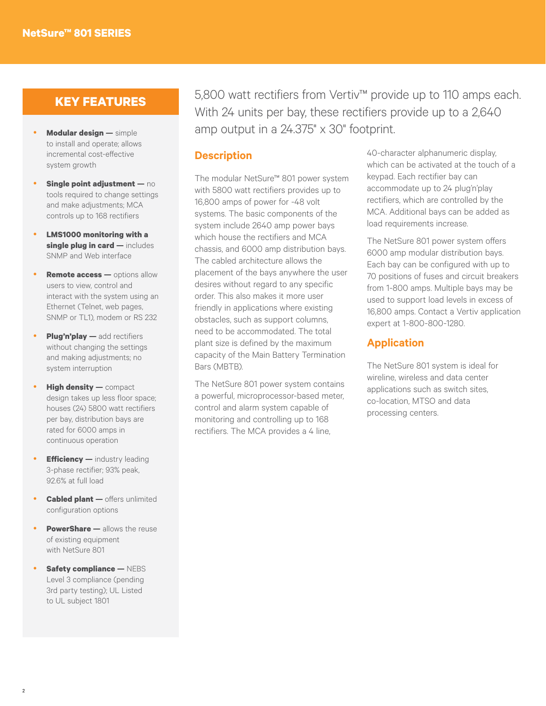# **KEY FEATURES**

- **Modular design —** simple to install and operate; allows incremental cost-effective system growth
- **Single point adjustment no** tools required to change settings and make adjustments; MCA controls up to 168 rectifiers
- **LMS1000 monitoring with a single plug in card —** includes SNMP and Web interface
- **Remote access —** options allow users to view, control and interact with the system using an Ethernet (Telnet, web pages, SNMP or TL1), modem or RS 232
- **Plug'n'play add rectifiers** without changing the settings and making adjustments; no system interruption
- **High density —** compact design takes up less floor space; houses (24) 5800 watt rectifiers per bay, distribution bays are rated for 6000 amps in continuous operation
- **Efficiency —** industry leading 3-phase rectifier; 93% peak, 92.6% at full load
- **Cabled plant —** offers unlimited configuration options
- **PowerShare —** allows the reuse of existing equipment with NetSure 801
- **Safety compliance NEBS** Level 3 compliance (pending 3rd party testing); UL Listed to UL subject 1801

5,800 watt rectifiers from Vertiv™ provide up to 110 amps each. With 24 units per bay, these rectifiers provide up to a 2,640 amp output in a 24.375" x 30" footprint.

## **Description**

The modular NetSure™ 801 power system with 5800 watt rectifiers provides up to 16,800 amps of power for -48 volt systems. The basic components of the system include 2640 amp power bays which house the rectifiers and MCA chassis, and 6000 amp distribution bays. The cabled architecture allows the placement of the bays anywhere the user desires without regard to any specific order. This also makes it more user friendly in applications where existing obstacles, such as support columns, need to be accommodated. The total plant size is defined by the maximum capacity of the Main Battery Termination Bars (MBTB).

The NetSure 801 power system contains a powerful, microprocessor-based meter, control and alarm system capable of monitoring and controlling up to 168 rectifiers. The MCA provides a 4 line,

40-character alphanumeric display, which can be activated at the touch of a keypad. Each rectifier bay can accommodate up to 24 plug'n'play rectifiers, which are controlled by the MCA. Additional bays can be added as load requirements increase.

The NetSure 801 power system offers 6000 amp modular distribution bays. Each bay can be configured with up to 70 positions of fuses and circuit breakers from 1-800 amps. Multiple bays may be used to support load levels in excess of 16,800 amps. Contact a Vertiv application expert at 1-800-800-1280.

## **Application**

The NetSure 801 system is ideal for wireline, wireless and data center applications such as switch sites, co-location, MTSO and data processing centers.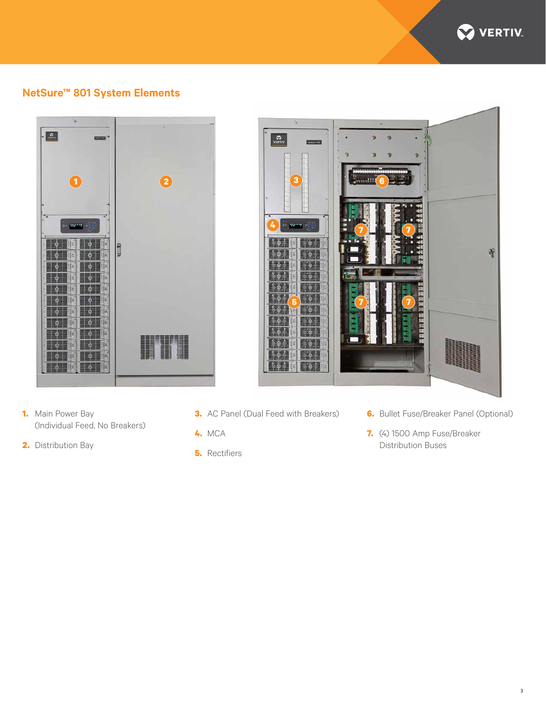

# **NetSure™ 801 System Elements**





- **1.** Main Power Bay (Individual Feed, No Breakers)
- **2.** Distribution Bay
- **3.** AC Panel (Dual Feed with Breakers)
- **4.** MCA
- **5.** Rectifiers

**6.** Bullet Fuse/Breaker Panel (Optional)

3

**7.** (4) 1500 Amp Fuse/Breaker Distribution Buses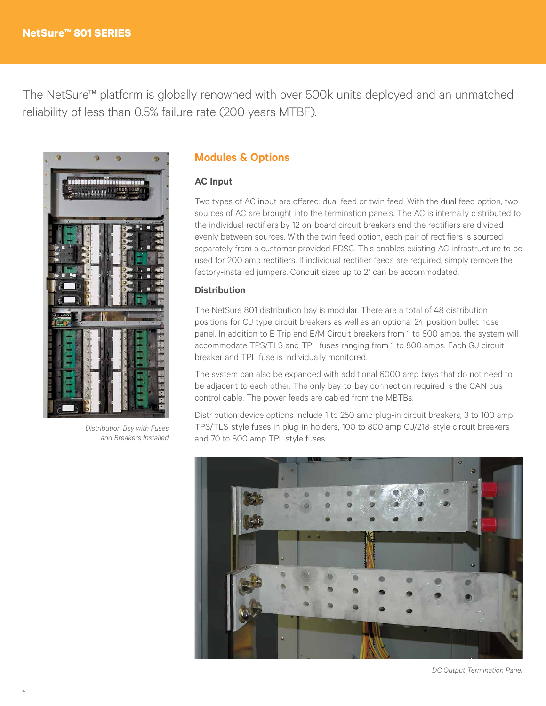The NetSure™ platform is globally renowned with over 500k units deployed and an unmatched reliability of less than 0.5% failure rate (200 years MTBF).



*Distribution Bay with Fuses and Breakers Installed*

# **Modules & Options**

#### **AC Input**

Two types of AC input are offered: dual feed or twin feed. With the dual feed option, two sources of AC are brought into the termination panels. The AC is internally distributed to the individual rectifiers by 12 on-board circuit breakers and the rectifiers are divided evenly between sources. With the twin feed option, each pair of rectifiers is sourced separately from a customer provided PDSC. This enables existing AC infrastructure to be used for 200 amp rectifiers. If individual rectifier feeds are required, simply remove the factory-installed jumpers. Conduit sizes up to 2" can be accommodated.

#### **Distribution**

The NetSure 801 distribution bay is modular. There are a total of 48 distribution positions for GJ type circuit breakers as well as an optional 24-position bullet nose panel. In addition to E-Trip and E/M Circuit breakers from 1 to 800 amps, the system will accommodate TPS/TLS and TPL fuses ranging from 1 to 800 amps. Each GJ circuit breaker and TPL fuse is individually monitored.

The system can also be expanded with additional 6000 amp bays that do not need to be adjacent to each other. The only bay-to-bay connection required is the CAN bus control cable. The power feeds are cabled from the MBTBs.

Distribution device options include 1 to 250 amp plug-in circuit breakers, 3 to 100 amp TPS/TLS-style fuses in plug-in holders, 100 to 800 amp GJ/218-style circuit breakers and 70 to 800 amp TPL-style fuses.



*DC Output Termination Panel*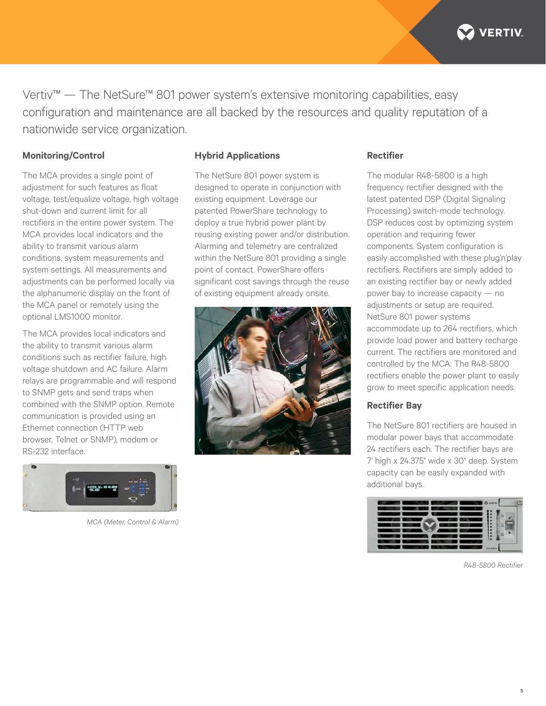

Vertiv™ — The NetSure™ 801 power system's extensive monitoring capabilities, easy configuration and maintenance are all backed by the resources and quality reputation of a nationwide service organization.

#### **Monitoring/Control**

The MCA provides a single point of adjustment for such features as float voltage, test/equalize voltage, high voltage shut-down and current limit for all rectifiers in the entire power system. The MCA provides local indicators and the ability to transmit various alarm conditions, system measurements and system settings. All measurements and adjustments can be performed locally via the alphanumeric display on the front of the MCA panel or remotely using the optional LMS1000 monitor.

The MCA provides local indicators and the ability to transmit various alarm conditions such as rectifier failure, high voltage shutdown and AC failure. Alarm relays are programmable and will respond to SNMP gets and send traps when combined with the SNMP option. Remote communication is provided using an Ethernet connection (HTTP web browser, Telnet or SNMP), modem or RS-232 interface.



*MCA (Meter, Control & Alarm)*

#### **Hybrid Applications**

The NetSure 801 power system is designed to operate in conjunction with existing equipment. Leverage our patented PowerShare technology to deploy a true hybrid power plant by reusing existing power and/or distribution. Alarming and telemetry are centralized within the NetSure 801 providing a single point of contact. PowerShare offers significant cost savings through the reuse of existing equipment already onsite.



#### **Rectifier**

The modular R48-5800 is a high frequency rectifier designed with the latest patented DSP (Digital Signaling Processing) switch-mode technology. DSP reduces cost by optimizing system operation and requiring fewer components. System configuration is easily accomplished with these plug'n'play rectifiers. Rectifiers are simply added to an existing rectifier bay or newly added power bay to increase capacity — no adjustments or setup are required. NetSure 801 power systems accommodate up to 264 rectifiers, which provide load power and battery recharge current. The rectifiers are monitored and controlled by the MCA. The R48-5800 rectifiers enable the power plant to easily grow to meet specific application needs.

#### **Rectifier Bay**

The NetSure 801 rectifiers are housed in modular power bays that accommodate 24 rectifiers each. The rectifier bays are 7' high x 24.375" wide x 30" deep. System capacity can be easily expanded with additional bays.



*R48-5800 Rectifier*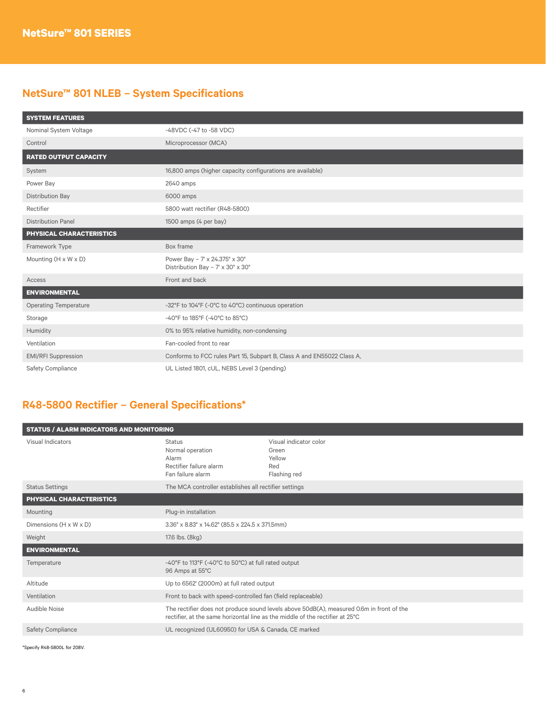# **NetSure™ 801 NLEB – System Specifications**

| <b>SYSTEM FEATURES</b>           |                                                                        |
|----------------------------------|------------------------------------------------------------------------|
| Nominal System Voltage           | -48VDC (-47 to -58 VDC)                                                |
| Control                          | Microprocessor (MCA)                                                   |
| <b>RATED OUTPUT CAPACITY</b>     |                                                                        |
| System                           | 16,800 amps (higher capacity configurations are available)             |
| Power Bay                        | 2640 amps                                                              |
| Distribution Bay                 | 6000 amps                                                              |
| Rectifier                        | 5800 watt rectifier (R48-5800)                                         |
| <b>Distribution Panel</b>        | 1500 amps (4 per bay)                                                  |
| PHYSICAL CHARACTERISTICS         |                                                                        |
| Framework Type                   | Box frame                                                              |
| Mounting $(H \times W \times D)$ | Power Bay - 7' x 24.375" x 30"<br>Distribution Bay - 7' x 30" x 30"    |
| Access                           | Front and back                                                         |
| <b>ENVIRONMENTAL</b>             |                                                                        |
| <b>Operating Temperature</b>     | -32°F to 104°F (-0°C to 40°C) continuous operation                     |
| Storage                          | -40°F to 185°F (-40°C to 85°C)                                         |
| Humidity                         | 0% to 95% relative humidity, non-condensing                            |
| Ventilation                      | Fan-cooled front to rear                                               |
| <b>EMI/RFI Suppression</b>       | Conforms to FCC rules Part 15, Subpart B, Class A and EN55022 Class A, |
| Safety Compliance                | UL Listed 1801, cUL, NEBS Level 3 (pending)                            |

# **R48-5800 Rectifier – General Specifications\***

| <b>STATUS / ALARM INDICATORS AND MONITORING</b> |                                                                                                                                                                           |                                                                  |  |  |
|-------------------------------------------------|---------------------------------------------------------------------------------------------------------------------------------------------------------------------------|------------------------------------------------------------------|--|--|
| Visual Indicators                               | <b>Status</b><br>Normal operation<br>Alarm<br>Rectifier failure alarm<br>Fan failure alarm                                                                                | Visual indicator color<br>Green<br>Yellow<br>Red<br>Flashing red |  |  |
| <b>Status Settings</b>                          | The MCA controller establishes all rectifier settings                                                                                                                     |                                                                  |  |  |
| PHYSICAL CHARACTERISTICS                        |                                                                                                                                                                           |                                                                  |  |  |
| Mounting                                        | Plug-in installation                                                                                                                                                      |                                                                  |  |  |
| Dimensions (H x W x D)                          | 3.36" x 8.83" x 14.62" (85.5 x 224.5 x 371.5mm)                                                                                                                           |                                                                  |  |  |
| Weight                                          | 17.6 lbs. (8kg)                                                                                                                                                           |                                                                  |  |  |
| <b>ENVIRONMENTAL</b>                            |                                                                                                                                                                           |                                                                  |  |  |
| Temperature                                     | -40°F to 113°F (-40°C to 50°C) at full rated output<br>96 Amps at 55°C                                                                                                    |                                                                  |  |  |
| Altitude                                        | Up to 6562' (2000m) at full rated output                                                                                                                                  |                                                                  |  |  |
| Ventilation                                     | Front to back with speed-controlled fan (field replaceable)                                                                                                               |                                                                  |  |  |
| Audible Noise                                   | The rectifier does not produce sound levels above 50dB(A), measured 0.6m in front of the<br>rectifier, at the same horizontal line as the middle of the rectifier at 25°C |                                                                  |  |  |
| <b>Safety Compliance</b>                        | UL recognized (UL60950) for USA & Canada, CE marked                                                                                                                       |                                                                  |  |  |
|                                                 |                                                                                                                                                                           |                                                                  |  |  |

\*Specify R48-5800L for 208V.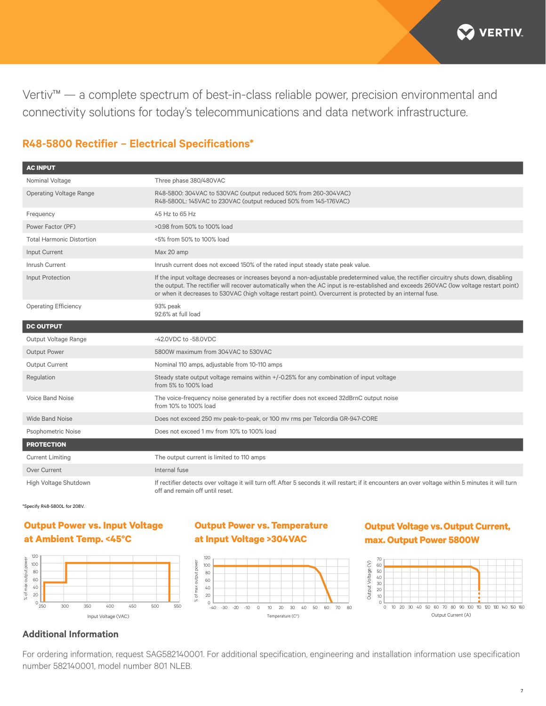

Vertiv™ — a complete spectrum of best-in-class reliable power, precision environmental and connectivity solutions for today's telecommunications and data network infrastructure.

# **R48-5800 Rectifier – Electrical Specifications\***

| <b>AC INPUT</b>                  |                                                                                                                                                                                                                                                                                                                                                                                                 |
|----------------------------------|-------------------------------------------------------------------------------------------------------------------------------------------------------------------------------------------------------------------------------------------------------------------------------------------------------------------------------------------------------------------------------------------------|
| Nominal Voltage                  | Three phase 380/480VAC                                                                                                                                                                                                                                                                                                                                                                          |
| <b>Operating Voltage Range</b>   | R48-5800: 304VAC to 530VAC (output reduced 50% from 260-304VAC)<br>R48-5800L: 145VAC to 230VAC (output reduced 50% from 145-176VAC)                                                                                                                                                                                                                                                             |
| Frequency                        | 45 Hz to 65 Hz                                                                                                                                                                                                                                                                                                                                                                                  |
| Power Factor (PF)                | >0.98 from 50% to 100% load                                                                                                                                                                                                                                                                                                                                                                     |
| <b>Total Harmonic Distortion</b> | <5% from 50% to 100% load                                                                                                                                                                                                                                                                                                                                                                       |
| Input Current                    | Max 20 amp                                                                                                                                                                                                                                                                                                                                                                                      |
| Inrush Current                   | Inrush current does not exceed 150% of the rated input steady state peak value.                                                                                                                                                                                                                                                                                                                 |
| Input Protection                 | If the input voltage decreases or increases beyond a non-adjustable predetermined value, the rectifier circuitry shuts down, disabling<br>the output. The rectifier will recover automatically when the AC input is re-established and exceeds 260VAC (low voltage restart point)<br>or when it decreases to 530VAC (high voltage restart point). Overcurrent is protected by an internal fuse. |
| <b>Operating Efficiency</b>      | 93% peak<br>92.6% at full load                                                                                                                                                                                                                                                                                                                                                                  |
| <b>DC OUTPUT</b>                 |                                                                                                                                                                                                                                                                                                                                                                                                 |
| Output Voltage Range             | -42.0VDC to -58.0VDC                                                                                                                                                                                                                                                                                                                                                                            |
| Output Power                     | 5800W maximum from 304VAC to 530VAC                                                                                                                                                                                                                                                                                                                                                             |
| Output Current                   | Nominal 110 amps, adjustable from 10-110 amps                                                                                                                                                                                                                                                                                                                                                   |
| Regulation                       | Steady state output voltage remains within +/-0.25% for any combination of input voltage<br>from 5% to 100% load                                                                                                                                                                                                                                                                                |
| <b>Voice Band Noise</b>          | The voice-frequency noise generated by a rectifier does not exceed 32dBrnC output noise<br>from 10% to 100% load                                                                                                                                                                                                                                                                                |
| <b>Wide Band Noise</b>           | Does not exceed 250 mv peak-to-peak, or 100 mv rms per Telcordia GR-947-CORE                                                                                                                                                                                                                                                                                                                    |
| Psophometric Noise               | Does not exceed 1 my from 10% to 100% load                                                                                                                                                                                                                                                                                                                                                      |
| <b>PROTECTION</b>                |                                                                                                                                                                                                                                                                                                                                                                                                 |
| <b>Current Limiting</b>          | The output current is limited to 110 amps                                                                                                                                                                                                                                                                                                                                                       |
| <b>Over Current</b>              | Internal fuse                                                                                                                                                                                                                                                                                                                                                                                   |
| High Voltage Shutdown            | If rectifier detects over voltage it will turn off. After 5 seconds it will restart; if it encounters an over voltage within 5 minutes it will turn<br>off and remain off until reset.                                                                                                                                                                                                          |

\*Specify R48-5800L for 208V.

# **Output Power vs. Input Voltage at Ambient Temp. <45°C**



# **Output Power vs. Temperature at Input Voltage >304VAC**



# **Output Voltage vs.Output Current, max. Output Power 5800W**



### **Additional Information**

For ordering information, request SAG582140001. For additional specification, engineering and installation information use specification number 582140001, model number 801 NLEB.